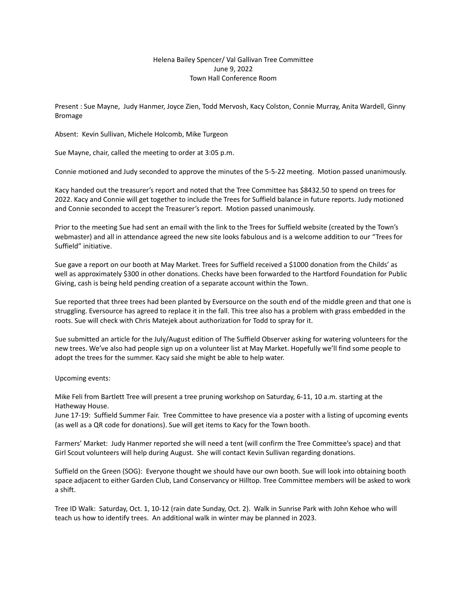## Helena Bailey Spencer/ Val Gallivan Tree Committee June 9, 2022 Town Hall Conference Room

Present : Sue Mayne, Judy Hanmer, Joyce Zien, Todd Mervosh, Kacy Colston, Connie Murray, Anita Wardell, Ginny Bromage

Absent: Kevin Sullivan, Michele Holcomb, Mike Turgeon

Sue Mayne, chair, called the meeting to order at 3:05 p.m.

Connie motioned and Judy seconded to approve the minutes of the 5-5-22 meeting. Motion passed unanimously.

Kacy handed out the treasurer's report and noted that the Tree Committee has \$8432.50 to spend on trees for 2022. Kacy and Connie will get together to include the Trees for Suffield balance in future reports. Judy motioned and Connie seconded to accept the Treasurer's report. Motion passed unanimously.

Prior to the meeting Sue had sent an email with the link to the Trees for Suffield website (created by the Town's webmaster) and all in attendance agreed the new site looks fabulous and is a welcome addition to our "Trees for Suffield" initiative.

Sue gave a report on our booth at May Market. Trees for Suffield received a \$1000 donation from the Childs' as well as approximately \$300 in other donations. Checks have been forwarded to the Hartford Foundation for Public Giving, cash is being held pending creation of a separate account within the Town.

Sue reported that three trees had been planted by Eversource on the south end of the middle green and that one is struggling. Eversource has agreed to replace it in the fall. This tree also has a problem with grass embedded in the roots. Sue will check with Chris Matejek about authorization for Todd to spray for it.

Sue submitted an article for the July/August edition of The Suffield Observer asking for watering volunteers for the new trees. We've also had people sign up on a volunteer list at May Market. Hopefully we'll find some people to adopt the trees for the summer. Kacy said she might be able to help water.

Upcoming events:

Mike Feli from Bartlett Tree will present a tree pruning workshop on Saturday, 6-11, 10 a.m. starting at the Hatheway House.

June 17-19: Suffield Summer Fair. Tree Committee to have presence via a poster with a listing of upcoming events (as well as a QR code for donations). Sue will get items to Kacy for the Town booth.

Farmers' Market: Judy Hanmer reported she will need a tent (will confirm the Tree Committee's space) and that Girl Scout volunteers will help during August. She will contact Kevin Sullivan regarding donations.

Suffield on the Green (SOG): Everyone thought we should have our own booth. Sue will look into obtaining booth space adjacent to either Garden Club, Land Conservancy or Hilltop. Tree Committee members will be asked to work a shift.

Tree ID Walk: Saturday, Oct. 1, 10-12 (rain date Sunday, Oct. 2). Walk in Sunrise Park with John Kehoe who will teach us how to identify trees. An additional walk in winter may be planned in 2023.